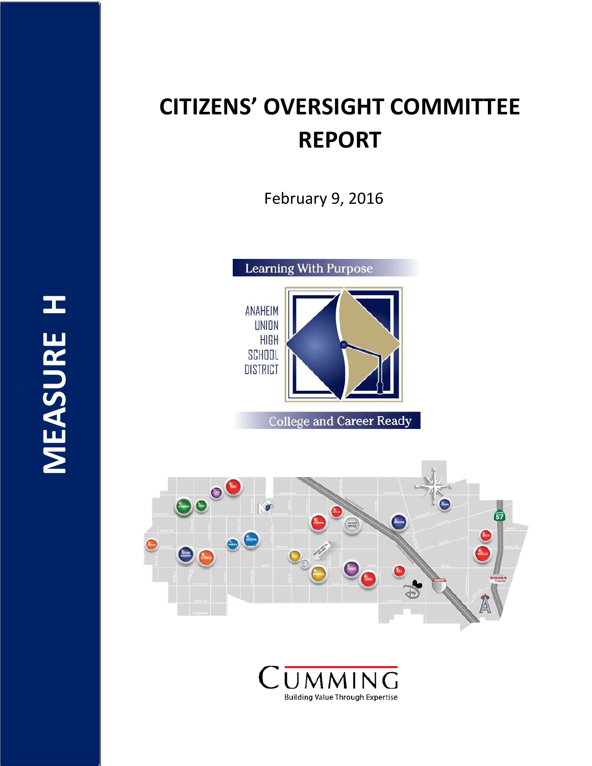# **CITIZENS' OVERSIGHT COMMITTEE REPORT**

February 9, 2016

the contract of the contract of the contract of the contract of the contract of



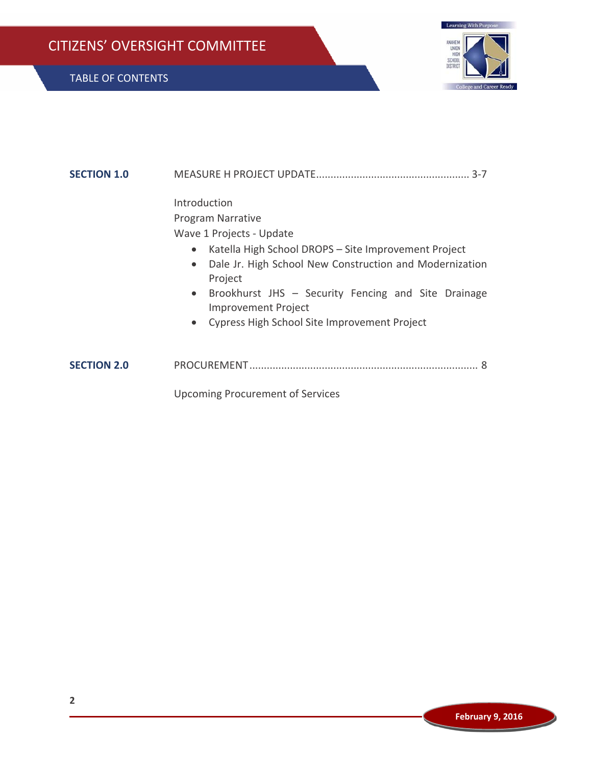

| <b>SECTION 1.0</b> | $3 - 7$                                                                                                                                                                                                                                                                                   |
|--------------------|-------------------------------------------------------------------------------------------------------------------------------------------------------------------------------------------------------------------------------------------------------------------------------------------|
|                    | Introduction<br>Program Narrative<br>Wave 1 Projects - Update<br>Katella High School DROPS - Site Improvement Project<br>$\bullet$<br>Dale Jr. High School New Construction and Modernization<br>$\bullet$<br>Project<br>Brookhurst JHS - Security Fencing and Site Drainage<br>$\bullet$ |
|                    | <b>Improvement Project</b><br>Cypress High School Site Improvement Project<br>$\bullet$                                                                                                                                                                                                   |
| <b>SECTION 2.0</b> |                                                                                                                                                                                                                                                                                           |
|                    | <b>Upcoming Procurement of Services</b>                                                                                                                                                                                                                                                   |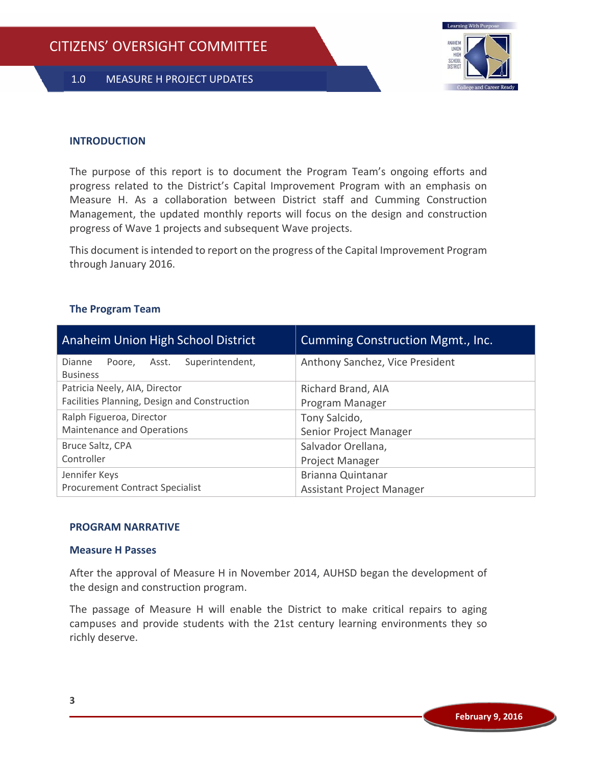

#### **INTRODUCTION**

The purpose of this report is to document the Program Team's ongoing efforts and progress related to the District's Capital Improvement Program with an emphasis on Measure H. As a collaboration between District staff and Cumming Construction Management, the updated monthly reports will focus on the design and construction progress of Wave 1 projects and subsequent Wave projects.

This document is intended to report on the progress of the Capital Improvement Program through January 2016.

|  | <b>The Program Team</b> |  |
|--|-------------------------|--|
|--|-------------------------|--|

| Anaheim Union High School District                              | <b>Cumming Construction Mgmt., Inc.</b> |  |
|-----------------------------------------------------------------|-----------------------------------------|--|
| Superintendent,<br>Dianne<br>Asst.<br>Poore.<br><b>Business</b> | Anthony Sanchez, Vice President         |  |
| Patricia Neely, AIA, Director                                   | Richard Brand, AIA                      |  |
| Facilities Planning, Design and Construction                    | Program Manager                         |  |
| Ralph Figueroa, Director                                        | Tony Salcido,                           |  |
| Maintenance and Operations                                      | Senior Project Manager                  |  |
| Bruce Saltz, CPA                                                | Salvador Orellana,                      |  |
| Controller                                                      | Project Manager                         |  |
| Jennifer Keys                                                   | <b>Brianna Quintanar</b>                |  |
| <b>Procurement Contract Specialist</b>                          | Assistant Project Manager               |  |

#### **PROGRAM NARRATIVE**

#### **Measure H Passes**

After the approval of Measure H in November 2014, AUHSD began the development of the design and construction program.

The passage of Measure H will enable the District to make critical repairs to aging campuses and provide students with the 21st century learning environments they so richly deserve.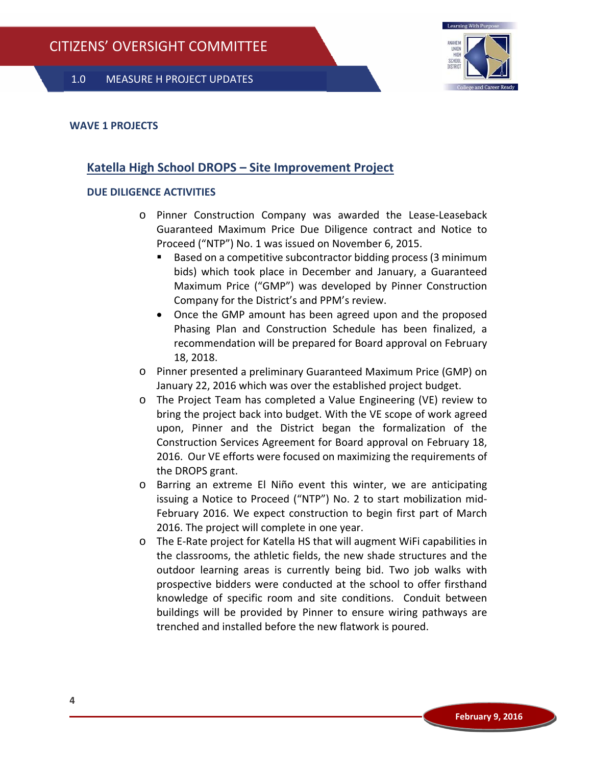

## **WAVE 1 PROJECTS**

# **Katella High School DROPS – Site Improvement Project**

## **DUE DILIGENCE ACTIVITIES**

- o Pinner Construction Company was awarded the Lease‐Leaseback Guaranteed Maximum Price Due Diligence contract and Notice to Proceed ("NTP") No. 1 was issued on November 6, 2015.
	- Based on a competitive subcontractor bidding process (3 minimum bids) which took place in December and January, a Guaranteed Maximum Price ("GMP") was developed by Pinner Construction Company for the District's and PPM's review.
	- Once the GMP amount has been agreed upon and the proposed Phasing Plan and Construction Schedule has been finalized, a recommendation will be prepared for Board approval on February 18, 2018.
- o Pinner presented a preliminary Guaranteed Maximum Price (GMP) on January 22, 2016 which was over the established project budget.
- o The Project Team has completed a Value Engineering (VE) review to bring the project back into budget. With the VE scope of work agreed upon, Pinner and the District began the formalization of the Construction Services Agreement for Board approval on February 18, 2016. Our VE efforts were focused on maximizing the requirements of the DROPS grant.
- o Barring an extreme El Niño event this winter, we are anticipating issuing a Notice to Proceed ("NTP") No. 2 to start mobilization mid‐ February 2016. We expect construction to begin first part of March 2016. The project will complete in one year.
- o The E‐Rate project for Katella HS that will augment WiFi capabilities in the classrooms, the athletic fields, the new shade structures and the outdoor learning areas is currently being bid. Two job walks with prospective bidders were conducted at the school to offer firsthand knowledge of specific room and site conditions. Conduit between buildings will be provided by Pinner to ensure wiring pathways are trenched and installed before the new flatwork is poured.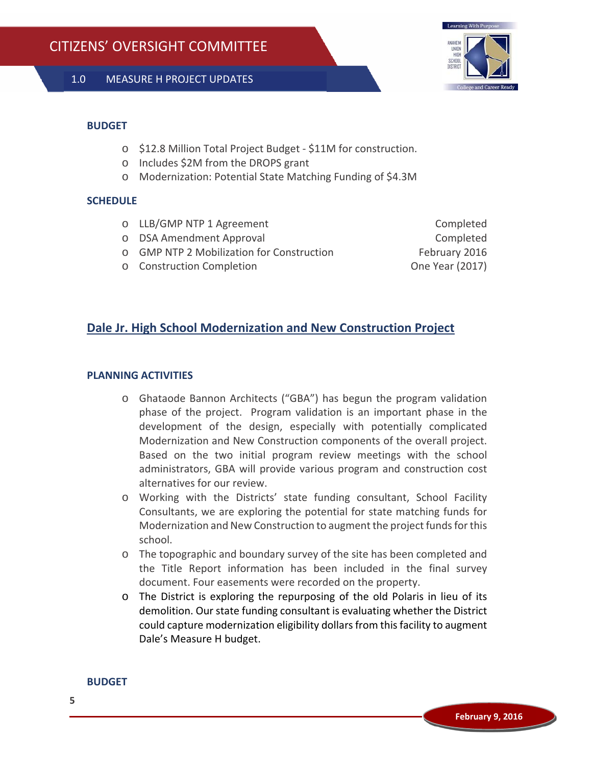

#### **BUDGET**

- o \$12.8 Million Total Project Budget ‐ \$11M for construction.
- o Includes \$2M from the DROPS grant
- o Modernization: Potential State Matching Funding of \$4.3M

## **SCHEDULE**

- o LLB/GMP NTP 1 Agreement Completed
- o DSA Amendment Approval Completed
- o GMP NTP 2 Mobilization for Construction February 2016
- o Construction Completion One Year (2017)

# **Dale Jr. High School Modernization and New Construction Project**

## **PLANNING ACTIVITIES**

- o Ghataode Bannon Architects ("GBA") has begun the program validation phase of the project. Program validation is an important phase in the development of the design, especially with potentially complicated Modernization and New Construction components of the overall project. Based on the two initial program review meetings with the school administrators, GBA will provide various program and construction cost alternatives for our review.
- o Working with the Districts' state funding consultant, School Facility Consultants, we are exploring the potential for state matching funds for Modernization and New Construction to augment the project funds for this school.
- o The topographic and boundary survey of the site has been completed and the Title Report information has been included in the final survey document. Four easements were recorded on the property.
- o The District is exploring the repurposing of the old Polaris in lieu of its demolition. Our state funding consultant is evaluating whether the District could capture modernization eligibility dollarsfrom thisfacility to augment Dale's Measure H budget.

#### **BUDGET**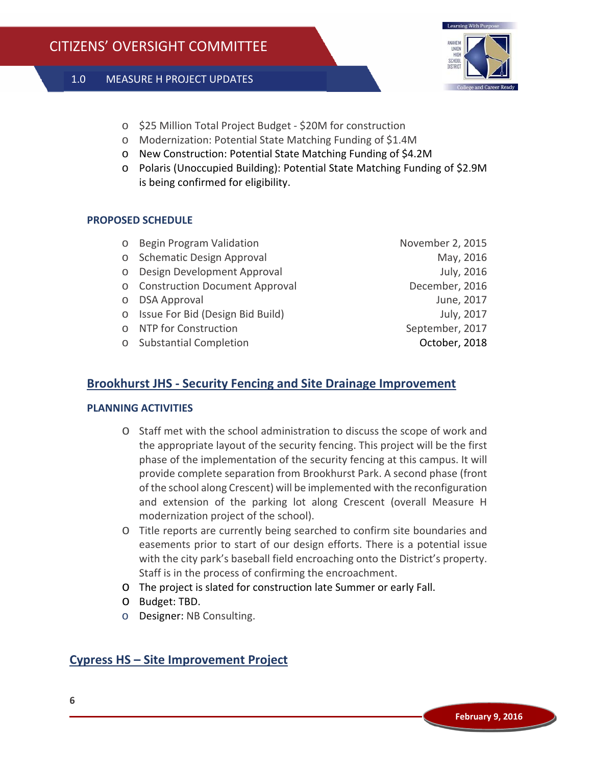

- o \$25 Million Total Project Budget ‐ \$20M for construction
- o Modernization: Potential State Matching Funding of \$1.4M
- o New Construction: Potential State Matching Funding of \$4.2M
- o Polaris (Unoccupied Building): Potential State Matching Funding of \$2.9M is being confirmed for eligibility.

## **PROPOSED SCHEDULE**

- o Begin Program Validation November 2, 2015
- o Schematic Design Approval May, 2016
- o Design Development Approval July, 2016
- o Construction Document Approval December, 2016
- 
- o Issue For Bid (Design Bid Build) July, 2017
- o NTP for Construction September, 2017
- o Substantial Completion October, 2018

o DSA Approval June, 2017

# **Brookhurst JHS ‐ Security Fencing and Site Drainage Improvement**

## **PLANNING ACTIVITIES**

- o Staff met with the school administration to discuss the scope of work and the appropriate layout of the security fencing. This project will be the first phase of the implementation of the security fencing at this campus. It will provide complete separation from Brookhurst Park. A second phase (front of the school along Crescent) will be implemented with the reconfiguration and extension of the parking lot along Crescent (overall Measure H modernization project of the school).
- o Title reports are currently being searched to confirm site boundaries and easements prior to start of our design efforts. There is a potential issue with the city park's baseball field encroaching onto the District's property. Staff is in the process of confirming the encroachment.
- o The project is slated for construction late Summer or early Fall.
- o Budget: TBD.
- o Designer: NB Consulting.

# **Cypress HS – Site Improvement Project**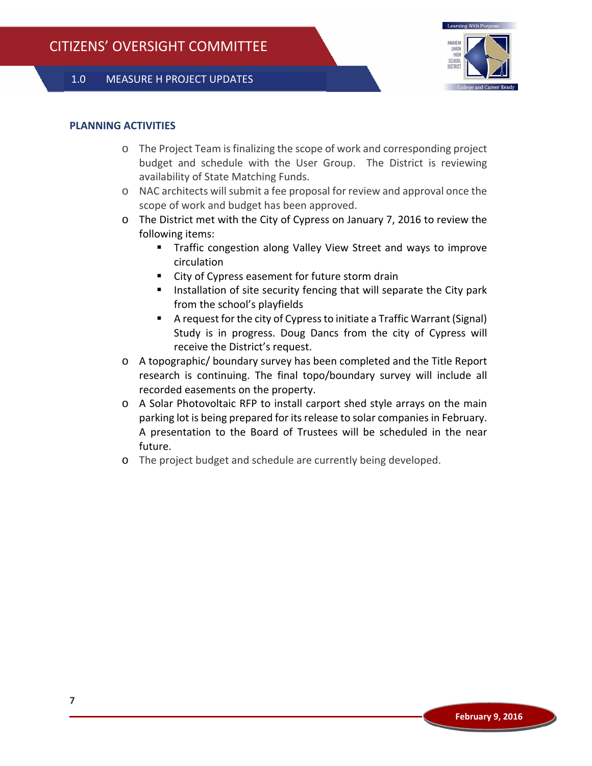

#### **PLANNING ACTIVITIES**

- o The Project Team is finalizing the scope of work and corresponding project budget and schedule with the User Group. The District is reviewing availability of State Matching Funds.
- o NAC architects will submit a fee proposal for review and approval once the scope of work and budget has been approved.
- o The District met with the City of Cypress on January 7, 2016 to review the following items:
	- **Traffic congestion along Valley View Street and ways to improve** circulation
	- City of Cypress easement for future storm drain
	- Installation of site security fencing that will separate the City park from the school's playfields
	- A request for the city of Cypressto initiate a Traffic Warrant (Signal) Study is in progress. Doug Dancs from the city of Cypress will receive the District's request.
- o A topographic/ boundary survey has been completed and the Title Report research is continuing. The final topo/boundary survey will include all recorded easements on the property.
- o A Solar Photovoltaic RFP to install carport shed style arrays on the main parking lot is being prepared for its release to solar companies in February. A presentation to the Board of Trustees will be scheduled in the near future.
- o The project budget and schedule are currently being developed.